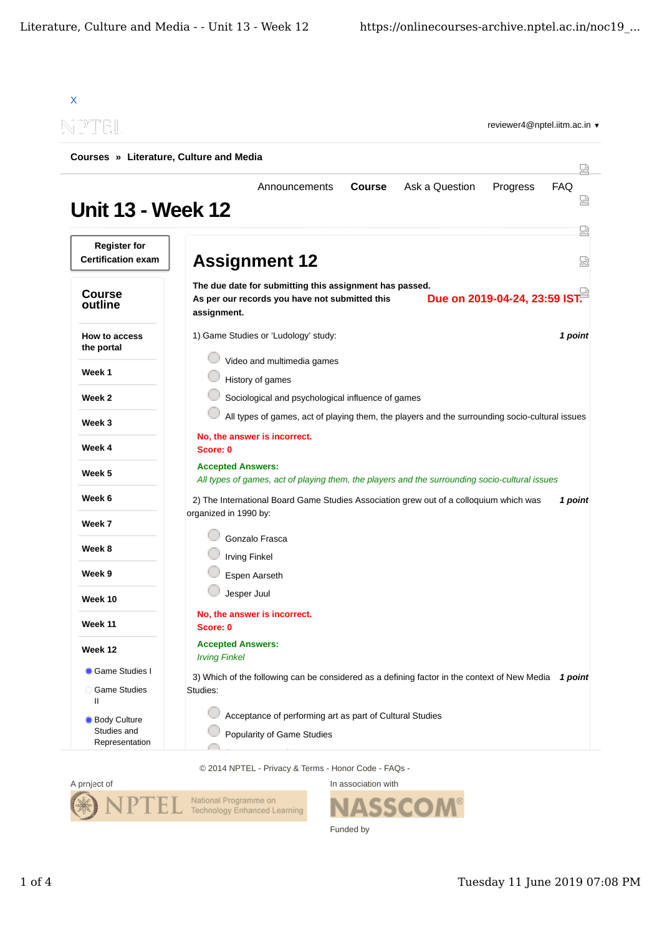| X                                                    |                                                                                                                                                           |  |  |
|------------------------------------------------------|-----------------------------------------------------------------------------------------------------------------------------------------------------------|--|--|
|                                                      | reviewer4@nptel.iitm.ac.in ▼                                                                                                                              |  |  |
| Courses » Literature, Culture and Media              | 닜                                                                                                                                                         |  |  |
| <b>Unit 13 - Week 12</b>                             | Ask a Question<br>Progress<br><b>FAQ</b><br>Announcements<br><b>Course</b><br>썮                                                                           |  |  |
| <b>Register for</b><br><b>Certification exam</b>     | 疏<br><b>Assignment 12</b><br>얺                                                                                                                            |  |  |
| <b>Course</b><br>outline                             | The due date for submitting this assignment has passed.<br>Due on 2019-04-24, 23:59 IST.<br>As per our records you have not submitted this<br>assignment. |  |  |
| How to access<br>the portal                          | 1) Game Studies or 'Ludology' study:<br>1 point                                                                                                           |  |  |
| Week 1                                               | Video and multimedia games<br>History of games                                                                                                            |  |  |
| Week 2                                               | Sociological and psychological influence of games                                                                                                         |  |  |
| Week 3                                               | All types of games, act of playing them, the players and the surrounding socio-cultural issues                                                            |  |  |
| Week 4                                               | No, the answer is incorrect.<br>Score: 0                                                                                                                  |  |  |
| Week 5                                               | <b>Accepted Answers:</b><br>All types of games, act of playing them, the players and the surrounding socio-cultural issues                                |  |  |
| Week 6                                               | 2) The International Board Game Studies Association grew out of a colloquium which was<br>1 point                                                         |  |  |
| Week 7                                               | organized in 1990 by:                                                                                                                                     |  |  |
| Week 8                                               | Gonzalo Frasca<br><b>Irving Finkel</b>                                                                                                                    |  |  |
| Week 9                                               | Espen Aarseth                                                                                                                                             |  |  |
| Week 10                                              | Jesper Juul                                                                                                                                               |  |  |
| <b>Week 11</b>                                       | No, the answer is incorrect.<br>Score: 0                                                                                                                  |  |  |
| Week 12                                              | <b>Accepted Answers:</b><br><b>Irving Finkel</b>                                                                                                          |  |  |
| Game Studies I<br>Game Studies<br>Ш                  | 3) Which of the following can be considered as a defining factor in the context of New Media 1 point<br>Studies:                                          |  |  |
| <b>Body Culture</b><br>Studies and<br>Representation | Acceptance of performing art as part of Cultural Studies<br>Popularity of Game Studies                                                                    |  |  |

© 2014 NPTEL - Privacy & Terms - Honor Code - FAQs -



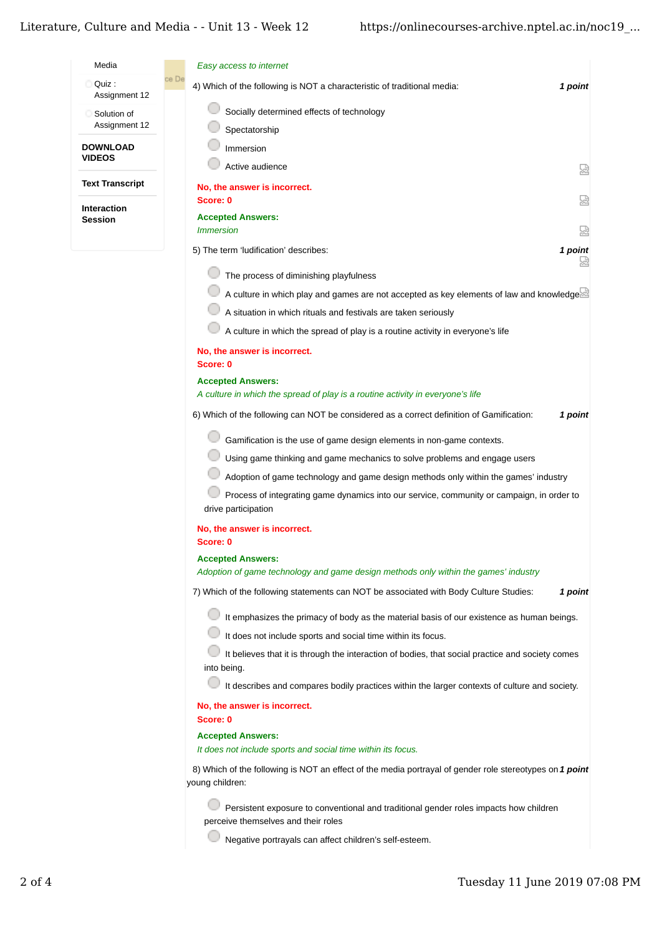## Literature, Culture and Media - - Unit 13 - Week 12

| Media                                | Easy access to internet                                                                                                      |         |
|--------------------------------------|------------------------------------------------------------------------------------------------------------------------------|---------|
| Quiz :<br>Assignment 12              | ce De<br>4) Which of the following is NOT a characteristic of traditional media:                                             | 1 point |
| Solution of                          | Socially determined effects of technology                                                                                    |         |
| Assignment 12                        | Spectatorship                                                                                                                |         |
| <b>DOWNLOAD</b>                      | Immersion                                                                                                                    |         |
| <b>VIDEOS</b>                        | Active audience                                                                                                              | 덣       |
| <b>Text Transcript</b>               | No, the answer is incorrect.                                                                                                 |         |
| <b>Interaction</b><br><b>Session</b> | Score: 0                                                                                                                     | 요       |
|                                      | <b>Accepted Answers:</b><br><i><b>Immersion</b></i>                                                                          | 얺       |
|                                      | 5) The term 'ludification' describes:                                                                                        | 1 point |
|                                      | The process of diminishing playfulness                                                                                       | 썮       |
|                                      | A culture in which play and games are not accepted as key elements of law and knowledge.                                     |         |
|                                      | A situation in which rituals and festivals are taken seriously                                                               |         |
|                                      | A culture in which the spread of play is a routine activity in everyone's life                                               |         |
|                                      | No, the answer is incorrect.<br>Score: 0                                                                                     |         |
|                                      | <b>Accepted Answers:</b>                                                                                                     |         |
|                                      | A culture in which the spread of play is a routine activity in everyone's life                                               |         |
|                                      | 6) Which of the following can NOT be considered as a correct definition of Gamification:                                     | 1 point |
|                                      | Gamification is the use of game design elements in non-game contexts.                                                        |         |
|                                      | Using game thinking and game mechanics to solve problems and engage users                                                    |         |
|                                      | Adoption of game technology and game design methods only within the games' industry                                          |         |
|                                      | Process of integrating game dynamics into our service, community or campaign, in order to<br>drive participation             |         |
|                                      | No, the answer is incorrect.<br>Score: 0                                                                                     |         |
|                                      | <b>Accepted Answers:</b>                                                                                                     |         |
|                                      | Adoption of game technology and game design methods only within the games' industry                                          |         |
|                                      | 7) Which of the following statements can NOT be associated with Body Culture Studies:                                        | 1 point |
|                                      | It emphasizes the primacy of body as the material basis of our existence as human beings.                                    |         |
|                                      | It does not include sports and social time within its focus.                                                                 |         |
|                                      | It believes that it is through the interaction of bodies, that social practice and society comes<br>into being.              |         |
|                                      | It describes and compares bodily practices within the larger contexts of culture and society.                                |         |
|                                      | No, the answer is incorrect.<br>Score: 0                                                                                     |         |
|                                      | <b>Accepted Answers:</b>                                                                                                     |         |
|                                      | It does not include sports and social time within its focus.                                                                 |         |
|                                      | 8) Which of the following is NOT an effect of the media portrayal of gender role stereotypes on 1 point<br>young children:   |         |
|                                      | Persistent exposure to conventional and traditional gender roles impacts how children<br>perceive themselves and their roles |         |
|                                      | Negative portrayals can affect children's self-esteem.                                                                       |         |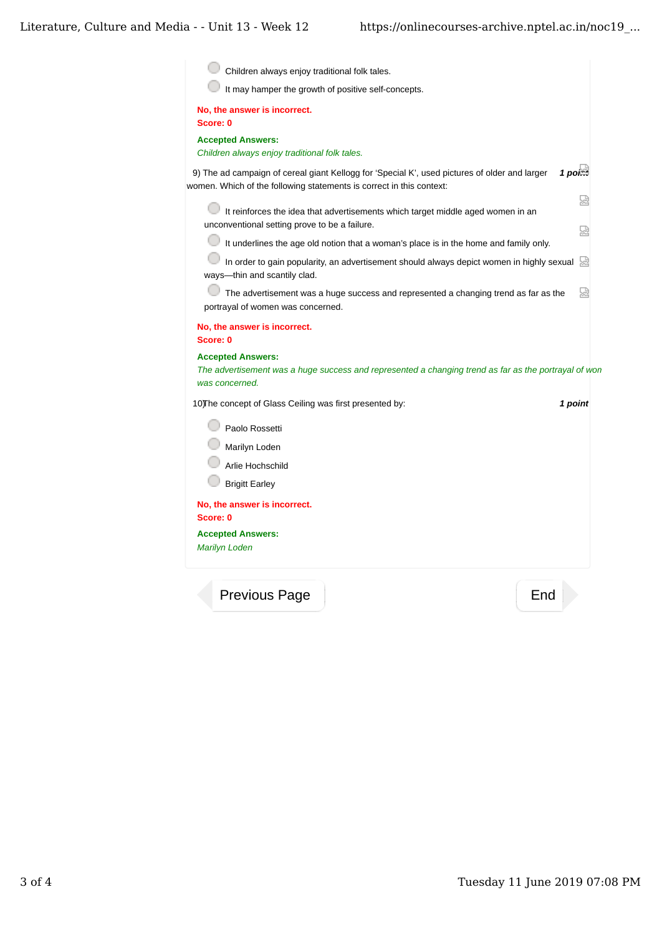